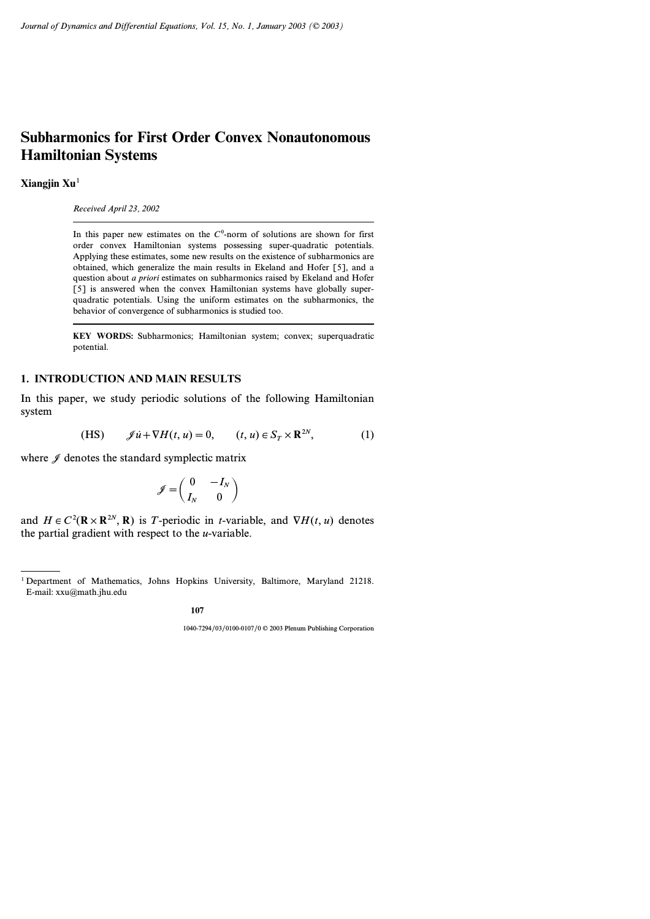# **Subharmonics for First Order Convex Nonautonomous Hamiltonian Systems**

**Xiangjin Xu**<sup>1</sup>

*Received April 23, 2002*

In this paper new estimates on the  $C^0$ -norm of solutions are shown for first order convex Hamiltonian systems possessing super-quadratic potentials. Applying these estimates, some new results on the existence of subharmonics are obtained, which generalize the main results in Ekeland and Hofer [5], and a question about *a priori* estimates on subharmonics raised by Ekeland and Hofer [5] is answered when the convex Hamiltonian systems have globally superquadratic potentials. Using the uniform estimates on the subharmonics, the behavior of convergence of subharmonics is studied too.

**KEY WORDS:** Subharmonics; Hamiltonian system; convex; superquadratic potential.

## **1. INTRODUCTION AND MAIN RESULTS**

In this paper, we study periodic solutions of the following Hamiltonian system

(HS) 
$$
\mathscr{J}\dot{u} + \nabla H(t, u) = 0, \qquad (t, u) \in S_T \times \mathbb{R}^{2N}, \tag{1}
$$

where  $\mathscr J$  denotes the standard symplectic matrix

$$
\mathcal{J} = \begin{pmatrix} 0 & -I_N \\ I_N & 0 \end{pmatrix}
$$

and  $H \in C^2(\mathbb{R} \times \mathbb{R}^{2N}, \mathbb{R})$  is T-periodic in *t*-variable, and  $\nabla H(t, u)$  denotes the partial gradient with respect to the *u*-variable.

<sup>1</sup> Department of Mathematics, Johns Hopkins University, Baltimore, Maryland 21218. E-mail: xxu@math.jhu.edu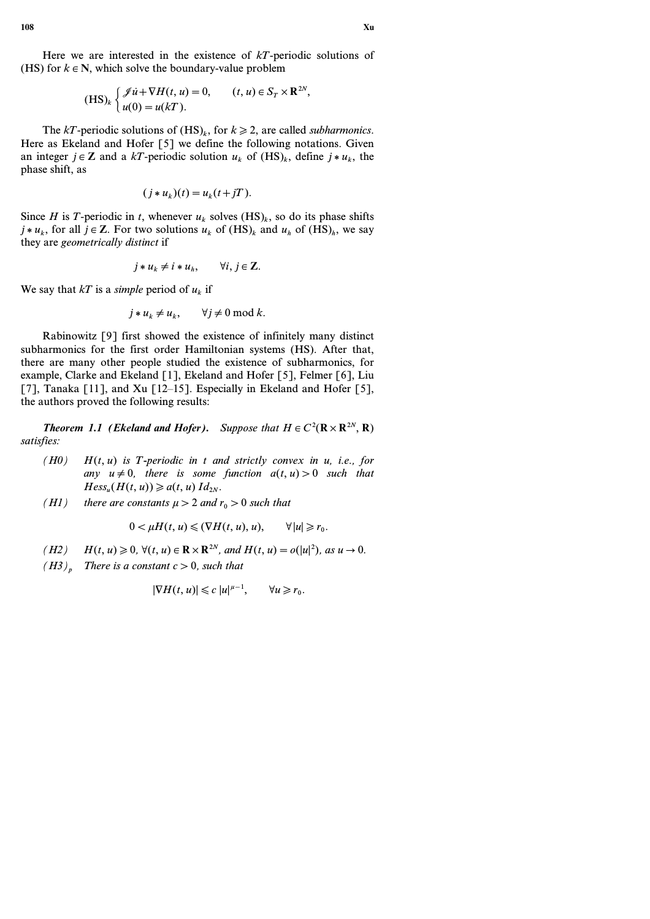Here we are interested in the existence of *kT*-periodic solutions of (HS) for  $k \in \mathbb{N}$ , which solve the boundary-value problem

$$
(\text{HS})_k \begin{cases} \mathcal{J} \dot{u} + \nabla H(t, u) = 0, & (t, u) \in S_T \times \mathbf{R}^{2N}, \\ u(0) = u(kT). \end{cases}
$$

The *kT*-periodic solutions of  $(HS)_k$ , for  $k \ge 2$ , are called *subharmonics*. Here as Ekeland and Hofer [5] we define the following notations. Given an integer  $j \in \mathbb{Z}$  and a  $kT$ -periodic solution  $u_k$  of  $(HS)_k$ , define  $j * u_k$ , the phase shift, as

$$
(j * u_k)(t) = u_k(t + jT).
$$

Since *H* is *T*-periodic in *t*, whenever  $u_k$  solves  $(HS)_k$ , so do its phase shifts  $j * u_k$ , for all  $j \in \mathbb{Z}$ . For two solutions  $u_k$  of  $(HS)_k$  and  $u_k$  of  $(HS)_h$ , we say they are *geometrically distinct* if

$$
j * u_k \neq i * u_h, \qquad \forall i, j \in \mathbb{Z}.
$$

We say that  $kT$  is a *simple* period of  $u_k$  if

$$
j * u_k \neq u_k, \qquad \forall j \neq 0 \bmod k.
$$

Rabinowitz [9] first showed the existence of infinitely many distinct subharmonics for the first order Hamiltonian systems (HS). After that, there are many other people studied the existence of subharmonics, for example, Clarke and Ekeland [1], Ekeland and Hofer [5], Felmer [6], Liu [7], Tanaka [11], and Xu [12–15]. Especially in Ekeland and Hofer [5], the authors proved the following results:

*Theorem 1.1 (Ekeland and Hofer). Suppose that*  $H \in C^2(\mathbb{R} \times \mathbb{R}^{2N}, \mathbb{R})$ *satisfies:*

- *(H0) H(t, u) is T-periodic in t and strictly convex in u, i.e., for any*  $u \neq 0$ , there is some function  $a(t, u) > 0$  such that  $Hess_u(H(t, u)) \geq a(t, u) \, Id_{2N}$ .
- *(H1)* there are constants  $\mu$  > 2 and  $r_0$  > 0 such that

$$
0 < \mu H(t, u) \leq (\nabla H(t, u), u), \qquad \forall |u| \geq r_0.
$$

*(H2)*  $H(t, u) \ge 0$ ,  $\forall (t, u) \in \mathbb{R} \times \mathbb{R}^{2N}$ , and  $H(t, u) = o(|u|^2)$ , as  $u \to 0$ .

 $(H3)$ <sup>*p*</sup> *There is a constant*  $c > 0$ *, such that* 

$$
|\nabla H(t, u)| \leqslant c |u|^{\mu - 1}, \qquad \forall u \geqslant r_0.
$$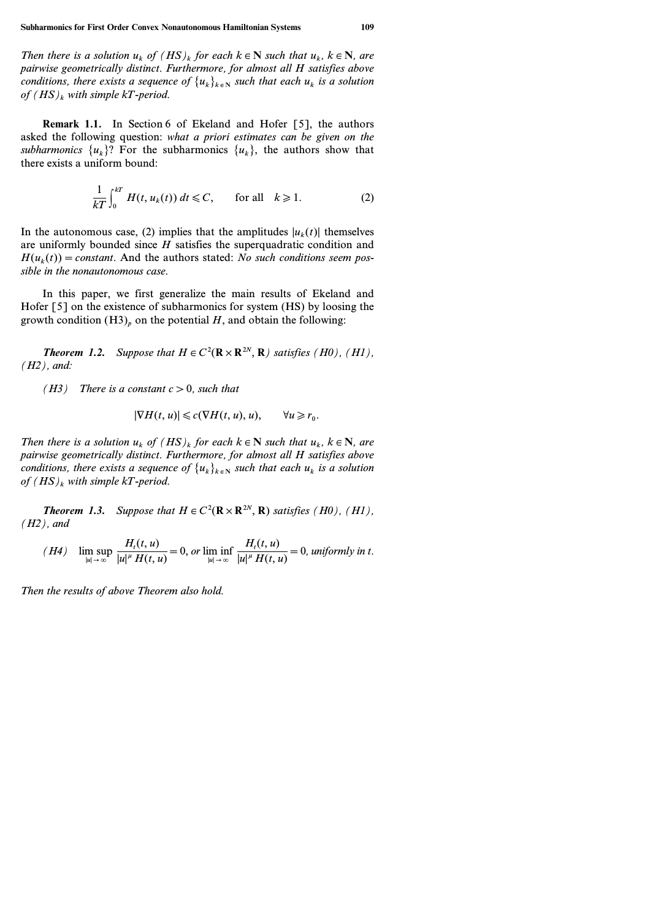*Then there is a solution*  $u_k$  *of*  $(HS)_k$  *for each*  $k \in \mathbb{N}$  *such that*  $u_k$ *,*  $k \in \mathbb{N}$ *, are pairwise geometrically distinct. Furthermore, for almost all H satisfies above conditions, there exists a sequence of*  $\{u_k\}_{k\in\mathbb{N}}$  *such that each*  $u_k$  *is a solution of (HS)<sup>k</sup> with simple kT-period.*

**Remark 1.1.** In Section 6 of Ekeland and Hofer [5], the authors asked the following question: *what a priori estimates can be given on the subharmonics*  $\{u_k\}$ ? For the subharmonics  $\{u_k\}$ , the authors show that there exists a uniform bound:

$$
\frac{1}{kT} \int_0^{kT} H(t, u_k(t)) dt \leq C, \quad \text{for all} \quad k \geq 1. \tag{2}
$$

In the autonomous case, (2) implies that the amplitudes  $|u_k(t)|$  themselves are uniformly bounded since *H* satisfies the superquadratic condition and  $H(u_k(t)) = constant$ . And the authors stated: *No such conditions seem possible in the nonautonomous case.*

In this paper, we first generalize the main results of Ekeland and Hofer [5] on the existence of subharmonics for system (HS) by loosing the growth condition  $(H3)$ <sup>*p*</sup> on the potential *H*, and obtain the following:

*Theorem 1.2. Suppose that*  $H \in C^2(\mathbb{R} \times \mathbb{R}^{2N}, \mathbb{R})$  *satisfies* (*H0),* (*H1)*, *(H2), and:*

*(H3) There is a constant c>0, such that*

$$
|\nabla H(t, u)| \leq c(\nabla H(t, u), u), \qquad \forall u \geq r_0.
$$

*Then there is a solution*  $u_k$  *of*  $(HS)_k$  *for each*  $k \in \mathbb{N}$  *such that*  $u_k$ *,*  $k \in \mathbb{N}$ *, are pairwise geometrically distinct. Furthermore, for almost all H satisfies above conditions, there exists a sequence of*  $\{u_k\}_{k \in \mathbb{N}}$  *such that each*  $u_k$  *is a solution of (HS)<sup>k</sup> with simple kT-period.*

*Theorem 1.3. Suppose that*  $H \in C^2(\mathbf{R} \times \mathbf{R}^{2N}, \mathbf{R})$  *satisfies* (*H0),* (*H1)*, *(H2), and*

$$
(H4) \quad \limsup_{|u| \to \infty} \frac{H_t(t, u)}{|u|^{\mu} H(t, u)} = 0, \text{ or } \liminf_{|u| \to \infty} \frac{H_t(t, u)}{|u|^{\mu} H(t, u)} = 0, \text{ uniformly in } t.
$$

*Then the results of above Theorem also hold.*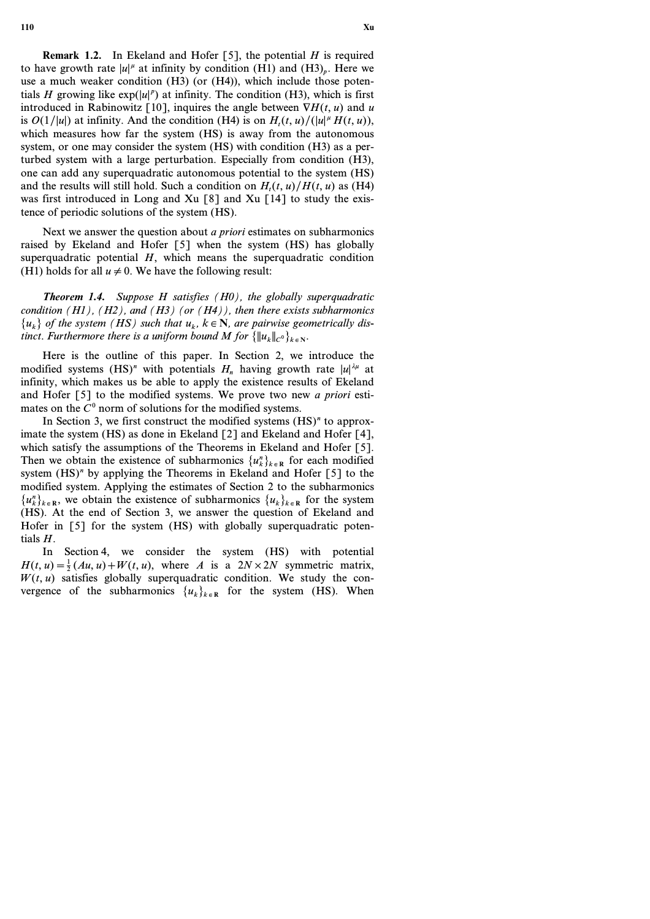**110 Xu**

**Remark 1.2.** In Ekeland and Hofer [5], the potential *H* is required to have growth rate  $|u|^{\mu}$  at infinity by condition (H1) and (H3)<sub>p</sub>. Here we use a much weaker condition (H3) (or (H4)), which include those potentials *H* growing like  $exp(|u|^p)$  at infinity. The condition (H3), which is first introduced in Rabinowitz [10], inquires the angle between  $\nabla H(t, u)$  and *u* is  $O(1/|u|)$  at infinity. And the condition (H4) is on  $H_t(t, u)/(|u|^{\mu} H(t, u))$ , which measures how far the system (HS) is away from the autonomous system, or one may consider the system (HS) with condition (H3) as a perturbed system with a large perturbation. Especially from condition (H3), one can add any superquadratic autonomous potential to the system (HS) and the results will still hold. Such a condition on  $H_t(t, u)/H(t, u)$  as (H4) was first introduced in Long and Xu [8] and Xu [14] to study the existence of periodic solutions of the system (HS).

Next we answer the question about *a priori* estimates on subharmonics raised by Ekeland and Hofer [5] when the system (HS) has globally superquadratic potential *H*, which means the superquadratic condition (H1) holds for all  $u \neq 0$ . We have the following result:

*Theorem 1.4. Suppose H satisfies (H0), the globally superquadratic condition (H1), (H2), and (H3) (or (H4)), then there exists subharmonics*  ${u_k}$  *of the system* (*HS*) such that  $u_k$ ,  $k \in \mathbb{N}$ , are pairwise geometrically dis*tinct. Furthermore there is a uniform bound M for*  $\{\|u_k\|_{C^0}\}_{k \in \mathbb{N}}$ *.* 

Here is the outline of this paper. In Section 2, we introduce the modified systems (HS)<sup>n</sup> with potentials  $H_n$  having growth rate  $|u|^{n}$  at infinity, which makes us be able to apply the existence results of Ekeland and Hofer [5] to the modified systems. We prove two new *a priori* estimates on the  $C^0$  norm of solutions for the modified systems.

In Section 3, we first construct the modified systems (HS)<sup>*n*</sup> to approximate the system (HS) as done in Ekeland [2] and Ekeland and Hofer [4], which satisfy the assumptions of the Theorems in Ekeland and Hofer [5]. Then we obtain the existence of subharmonics  $\{u_k^n\}_{k \in \mathbb{R}}$  for each modified system (HS)<sup>n</sup> by applying the Theorems in Ekeland and Hofer [5] to the modified system. Applying the estimates of Section 2 to the subharmonics  ${u_k}^n$ , we obtain the existence of subharmonics  ${u_k}$ <sub> $k \in \mathbb{R}$ </sub> for the system (HS). At the end of Section 3, we answer the question of Ekeland and Hofer in [5] for the system (HS) with globally superquadratic potentials *H*.

In Section 4, we consider the system (HS) with potential  $H(t, u) = \frac{1}{2}(Au, u) + W(t, u)$ , where *A* is a  $2N \times 2N$  symmetric matrix,  $W(t, u)$  satisfies globally superquadratic condition. We study the convergence of the subharmonics  $\{u_k\}_{k \in \mathbb{R}}$  for the system (HS). When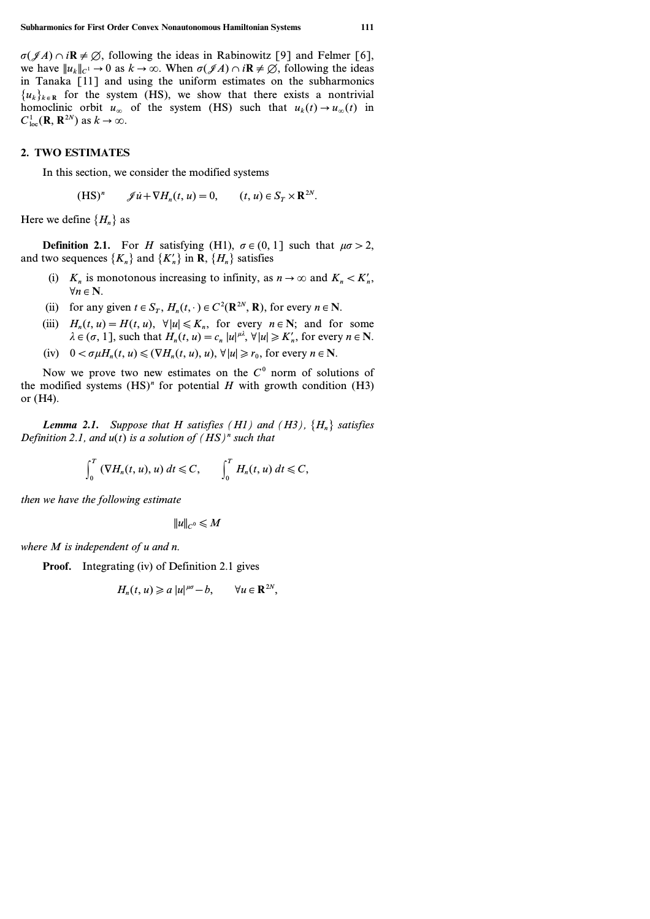$\sigma(\mathscr{J}A) \cap i\mathbb{R} \neq \emptyset$ , following the ideas in Rabinowitz [9] and Felmer [6], we have  $||u_k||_{C^1} \to 0$  as  $k \to \infty$ . When  $\sigma(\mathscr{J}A) \cap i\mathbb{R} \neq \emptyset$ , following the ideas in Tanaka [11] and using the uniform estimates on the subharmonics  ${u_k}_{k \in \mathbb{R}}$  for the system (HS), we show that there exists a nontrivial homoclinic orbit  $u_{\infty}$  of the system (HS) such that  $u_k(t) \to u_{\infty}(t)$  in  $C^1_{\text{loc}}(\mathbf{R}, \mathbf{R}^{2N})$  as  $k \to \infty$ .

### **2. TWO ESTIMATES**

In this section, we consider the modified systems

$$
(\text{HS})^n \qquad \mathscr{J}\dot{u} + \nabla H_n(t, u) = 0, \qquad (t, u) \in S_T \times \mathbb{R}^{2N}.
$$

Here we define  ${H_n}$  as

**Definition 2.1.** For *H* satisfying (H1),  $\sigma \in (0, 1]$  such that  $\mu \sigma > 2$ , and two sequences  $\{K_n\}$  and  $\{K'_n\}$  in **R**,  $\{H_n\}$  satisfies

- (i)  $K_n$  is monotonous increasing to infinity, as  $n \to \infty$  and  $K_n < K'_n$ ,  $\forall n \in \mathbb{N}$
- (ii) for any given  $t \in S_T$ ,  $H_n(t, \cdot) \in C^2(\mathbb{R}^{2N}, \mathbb{R})$ , for every  $n \in \mathbb{N}$ .
- (iii)  $H_n(t, u) = H(t, u)$ ,  $\forall |u| \le K_n$ , for every  $n \in \mathbb{N}$ ; and for some  $\lambda \in (\sigma, 1]$ , such that  $H_n(t, u) = c_n |u|^{u\lambda}, \forall |u| \ge K'_n$ , for every  $n \in \mathbb{N}$ .
- $(iv)$   $0 < \sigma \mu H_n(t, u) \le (\nabla H_n(t, u), u), \forall |u| \ge r_0$ , for every  $n \in \mathbb{N}$ .

Now we prove two new estimates on the *C<sup>0</sup>* norm of solutions of the modified systems  $(HS)^n$  for potential  $H$  with growth condition  $(H3)$ or (H4).

*Lemma 2.1. Suppose that H satisfies* (*H1*) and (*H3*),  $\{H_n\}$  *satisfies Definition 2.1, and u(t) is a solution of (HS)<sup>n</sup> such that*

$$
\int_0^T \left( \nabla H_n(t, u), u \right) dt \leq C, \qquad \int_0^T H_n(t, u) dt \leq C,
$$

*then we have the following estimate*

$$
||u||_{C^0} \leq M
$$

*where M is independent of u and n.*

**Proof.** Integrating (iv) of Definition 2.1 gives

$$
H_n(t, u) \geq a |u|^{\mu\sigma} - b, \qquad \forall u \in \mathbf{R}^{2N},
$$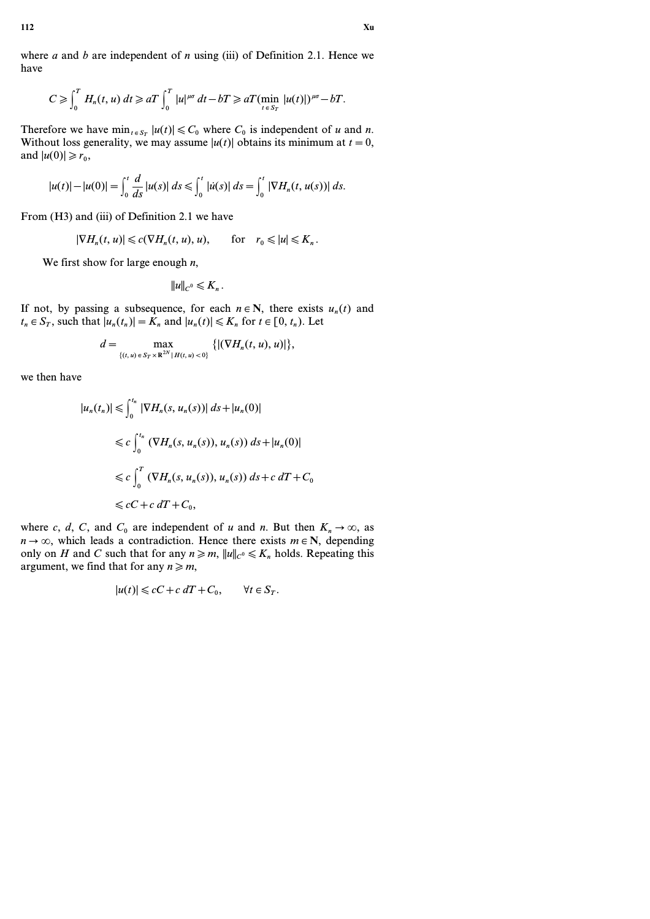where *a* and *b* are independent of *n* using (iii) of Definition 2.1. Hence we have

$$
C\geqslant \int_0^T H_n(t,u)\,dt\geqslant aT\int_0^T |u|^{\mu\sigma}\,dt-bT\geqslant aT(\min_{t\,\in\,S_T}|u(t)|)^{\mu\sigma}-bT.
$$

Therefore we have  $\min_{t \in S_T} |u(t)| \leq C_0$  where  $C_0$  is independent of *u* and *n*. Without loss generality, we may assume  $|u(t)|$  obtains its minimum at  $t=0$ , and  $|u(0)| \ge r_0$ ,

$$
|u(t)| - |u(0)| = \int_0^t \frac{d}{ds} |u(s)| \, ds \le \int_0^t |u(s)| \, ds = \int_0^t |\nabla H_n(t, u(s))| \, ds.
$$

From (H3) and (iii) of Definition 2.1 we have

$$
|\nabla H_n(t, u)| \leq c(\nabla H_n(t, u), u), \quad \text{for} \quad r_0 \leq |u| \leq K_n.
$$

We first show for large enough *n*,

$$
||u||_{C^0}\leqslant K_n.
$$

If not, by passing a subsequence, for each  $n \in \mathbb{N}$ , there exists  $u_n(t)$  and  $t_n \in S_T$ , such that  $|u_n(t_n)| = K_n$  and  $|u_n(t)| \leq K_n$  for  $t \in [0, t_n)$ . Let

$$
d = \max_{\{(t, u) \in S_T \times \mathbb{R}^{2N} | H(t, u) < 0\}} \{ | (\nabla H_n(t, u), u) | \},
$$

we then have

$$
|u_n(t_n)| \leq \int_0^{t_n} |\nabla H_n(s, u_n(s))| ds + |u_n(0)|
$$
  
\n
$$
\leq c \int_0^{t_n} (\nabla H_n(s, u_n(s)), u_n(s)) ds + |u_n(0)|
$$
  
\n
$$
\leq c \int_0^T (\nabla H_n(s, u_n(s)), u_n(s)) ds + c dT + C_0
$$
  
\n
$$
\leq cC + c dT + C_0,
$$

where *c*, *d*, *C*, and *C*<sup>0</sup> are independent of *u* and *n*. But then  $K_n \to \infty$ , as  $n \rightarrow \infty$ , which leads a contradiction. Hence there exists  $m \in \mathbb{N}$ , depending only on *H* and *C* such that for any  $n \ge m$ ,  $||u||_{C^0} \le K_n$  holds. Repeating this argument, we find that for any  $n \ge m$ ,

$$
|u(t)| \leqslant cC + c \, dT + C_0, \qquad \forall t \in S_T.
$$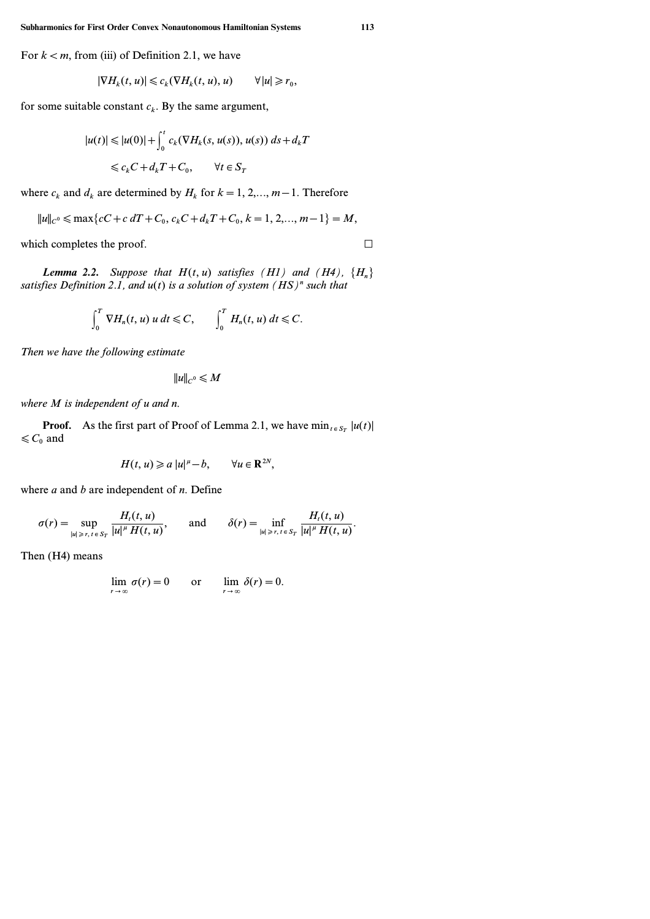For  $k < m$ , from (iii) of Definition 2.1, we have

$$
|\nabla H_k(t, u)| \leq c_k (\nabla H_k(t, u), u) \qquad \forall |u| \geq r_0,
$$

for some suitable constant  $c_k$ . By the same argument,

$$
|u(t)| \le |u(0)| + \int_0^t c_k(\nabla H_k(s, u(s)), u(s)) ds + d_k T
$$
  

$$
\le c_k C + d_k T + C_0, \qquad \forall t \in S_T
$$

where  $c_k$  and  $d_k$  are determined by  $H_k$  for  $k = 1, 2, ..., m - 1$ . Therefore

$$
||u||_{C^0} \le \max\{cC + c\ dT + C_0, c_kC + d_kT + C_0, k = 1, 2, ..., m-1\} = M,
$$

which completes the proof.  $\Box$ 

*Lemma 2.2. Suppose that*  $H(t, u)$  *satisfies* (*H1)* and (*H4)*,  ${H_n}$ *satisfies Definition 2.1, and u(t) is a solution of system (HS)<sup>n</sup> such that*

$$
\int_0^T \nabla H_n(t, u) u dt \leq C, \qquad \int_0^T H_n(t, u) dt \leq C.
$$

*Then we have the following estimate*

$$
||u||_{C^0} \leqslant M
$$

*where M is independent of u and n.*

**Proof.** As the first part of Proof of Lemma 2.1, we have  $\min_{t \in S_T} |u(t)|$  $\leq C_0$  and

$$
H(t, u) \geq a |u|^{\mu} - b, \qquad \forall u \in \mathbb{R}^{2N},
$$

where *a* and *b* are independent of *n*. Define

$$
\sigma(r) = \sup_{|u| \geq r, t \in S_T} \frac{H_t(t, u)}{|u|^{\mu} H(t, u)}, \quad \text{and} \quad \delta(r) = \inf_{|u| \geq r, t \in S_T} \frac{H_t(t, u)}{|u|^{\mu} H(t, u)}.
$$

Then (H4) means

$$
\lim_{r \to \infty} \sigma(r) = 0 \qquad \text{or} \qquad \lim_{r \to \infty} \delta(r) = 0.
$$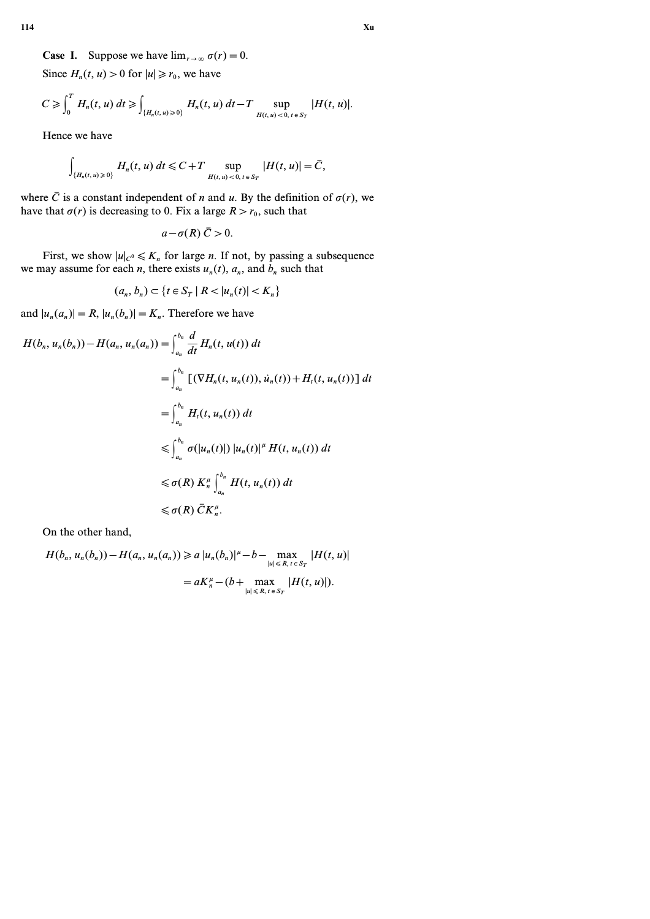Since  $H_n(t, u) > 0$  for  $|u| \ge r_0$ , we have

$$
C \geq \int_0^T H_n(t, u) dt \geq \int_{\{H_n(t, u) \geq 0\}} H_n(t, u) dt - T \sup_{H(t, u) < 0, t \in S_T} |H(t, u)|.
$$

Hence we have

 $\overline{a}$ 

$$
\int_{\{H_n(t,u)\geq 0\}} H_n(t,u) dt \leq C+T \sup_{H(t,u)<0, t\in S_T} |H(t,u)| = \bar{C},
$$

where  $\bar{C}$  is a constant independent of *n* and *u*. By the definition of  $\sigma(r)$ , we have that  $\sigma(r)$  is decreasing to 0. Fix a large  $R > r_0$ , such that

$$
a-\sigma(R)\bar{C} > 0.
$$

First, we show  $|u|_{C^0} \le K_n$  for large *n*. If not, by passing a subsequence we may assume for each *n*, there exists  $u_n(t)$ ,  $a_n$ , and  $b_n$  such that

$$
(a_n, b_n) \subset \{t \in S_T \mid R < |u_n(t)| < K_n\}
$$

and  $|u_n(a_n)| = R$ ,  $|u_n(b_n)| = K_n$ . Therefore we have

$$
H(b_n, u_n(b_n)) - H(a_n, u_n(a_n)) = \int_{a_n}^{b_n} \frac{d}{dt} H_n(t, u(t)) dt
$$
  
\n
$$
= \int_{a_n}^{b_n} \left[ (\nabla H_n(t, u_n(t)), \dot{u}_n(t)) + H_t(t, u_n(t)) \right] dt
$$
  
\n
$$
= \int_{a_n}^{b_n} H_t(t, u_n(t)) dt
$$
  
\n
$$
\leq \int_{a_n}^{b_n} \sigma(|u_n(t)|) |u_n(t)|^{\mu} H(t, u_n(t)) dt
$$
  
\n
$$
\leq \sigma(R) K_n^{\mu} \int_{a_n}^{b_n} H(t, u_n(t)) dt
$$
  
\n
$$
\leq \sigma(R) \bar{C} K_n^{\mu}.
$$

On the other hand,

$$
H(b_n, u_n(b_n)) - H(a_n, u_n(a_n)) \ge a |u_n(b_n)|^{\mu} - b - \max_{|u| \le R, t \in S_T} |H(t, u)|
$$
  
=  $aK_n^{\mu} - (b + \max_{|u| \le R, t \in S_T} |H(t, u)|).$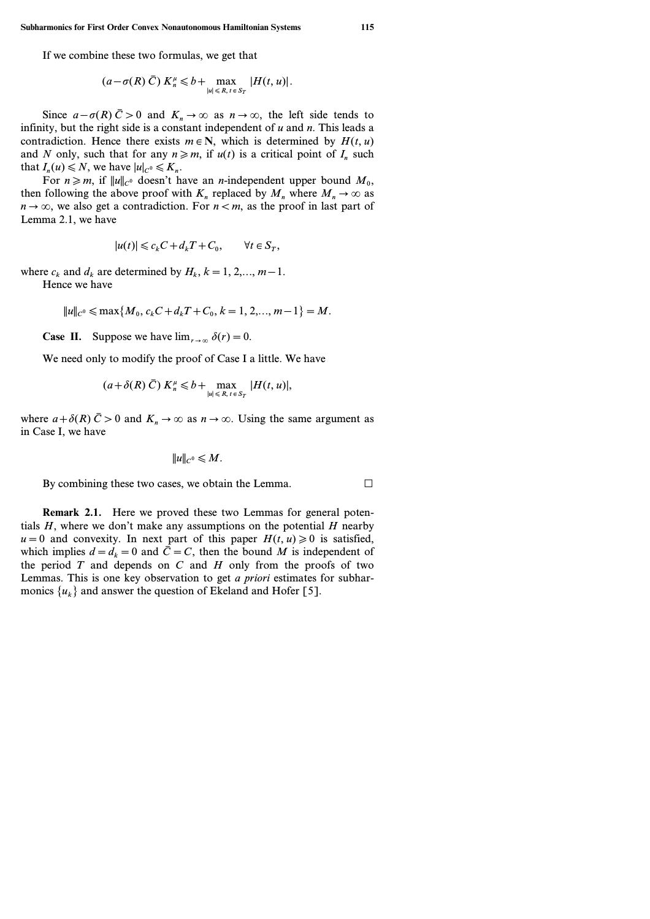If we combine these two formulas, we get that

$$
(a-\sigma(R)\bar{C}) K_n^{\mu} \leq b + \max_{|u| \leq R, t \in S_T} |H(t, u)|.
$$

Since  $a - \sigma(R)$   $\bar{C} > 0$  and  $K_n \to \infty$  as  $n \to \infty$ , the left side tends to infinity, but the right side is a constant independent of *u* and *n*. This leads a contradiction. Hence there exists  $m \in \mathbb{N}$ , which is determined by  $H(t, u)$ and *N* only, such that for any  $n \ge m$ , if  $u(t)$  is a critical point of  $I_n$  such that  $I_n(u) \leq N$ , we have  $|u|_{C^0} \leq K_n$ .

For  $n \ge m$ , if  $||u||_{C^0}$  doesn't have an *n*-independent upper bound  $M_0$ , then following the above proof with  $K_n$  replaced by  $M_n$  where  $M_n \to \infty$  as  $n \rightarrow \infty$ , we also get a contradiction. For  $n < m$ , as the proof in last part of Lemma 2.1, we have

$$
|u(t)| \leq c_k C + d_k T + C_0, \qquad \forall t \in S_T,
$$

where  $c_k$  and  $d_k$  are determined by  $H_k$ ,  $k = 1, 2, \ldots, m-1$ .

Hence we have

$$
||u||_{C^0} \le \max\{M_0, c_kC + d_kT + C_0, k = 1, 2, ..., m-1\} = M.
$$

**Case II.** Suppose we have  $\lim_{r \to \infty} \delta(r) = 0$ .

We need only to modify the proof of Case I a little. We have

$$
(a+\delta(R)\,\bar{C})\,K_n^{\mu}\leq b+\max_{|u|\leq R,\,t\,\in\,S_T}|H(t,u)|,
$$

where  $a + \delta(R)$   $\bar{C} > 0$  and  $K_n \to \infty$  as  $n \to \infty$ . Using the same argument as in Case I, we have

$$
||u||_{C^0}\leqslant M.
$$

By combining these two cases, we obtain the Lemma.  $\Box$ 

**Remark 2.1.** Here we proved these two Lemmas for general potentials *H*, where we don't make any assumptions on the potential *H* nearby  $u=0$  and convexity. In next part of this paper  $H(t, u) \ge 0$  is satisfied, which implies  $d = d_k = 0$  and  $\bar{C} = C$ , then the bound *M* is independent of the period  $T$  and depends on  $C$  and  $H$  only from the proofs of two Lemmas. This is one key observation to get *a priori* estimates for subharmonics  $\{u_k\}$  and answer the question of Ekeland and Hofer [5].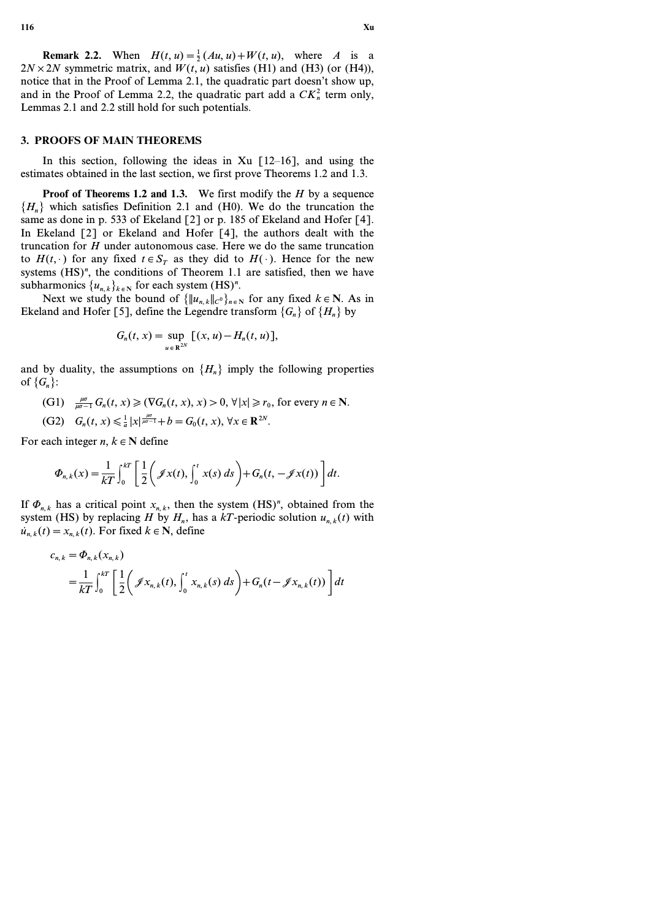**Remark 2.2.** When  $H(t, u) = \frac{1}{2}(Au, u) + W(t, u)$ , where *A* is a  $2N \times 2N$  symmetric matrix, and  $W(t, u)$  satisfies (H1) and (H3) (or (H4)), notice that in the Proof of Lemma 2.1, the quadratic part doesn't show up, and in the Proof of Lemma 2.2, the quadratic part add a  $CK_n^2$  term only, Lemmas 2.1 and 2.2 still hold for such potentials.

# **3. PROOFS OF MAIN THEOREMS**

In this section, following the ideas in Xu  $[12-16]$ , and using the estimates obtained in the last section, we first prove Theorems 1.2 and 1.3.

**Proof of Theorems 1.2 and 1.3.** We first modify the *H* by a sequence  ${H_n}$  which satisfies Definition 2.1 and *(H0)*. We do the truncation the same as done in p. 533 of Ekeland [2] or p. 185 of Ekeland and Hofer [4]. In Ekeland [2] or Ekeland and Hofer [4], the authors dealt with the truncation for *H* under autonomous case. Here we do the same truncation to  $H(t, \cdot)$  for any fixed  $t \in S_T$  as they did to  $H(\cdot)$ . Hence for the new systems  $(HS)^n$ , the conditions of Theorem 1.1 are satisfied, then we have subharmonics  $\{u_{n,k}\}_k \in \mathbb{N}$  for each system (HS)<sup>*n*</sup>.

Next we study the bound of  ${\|u_{n,k}\|_{C} \}_{n \in \mathbb{N}}}$  for any fixed  $k \in \mathbb{N}$ . As in Ekeland and Hofer [5], define the Legendre transform  ${G_n}$  of  ${H_n}$  by

$$
G_n(t, x) = \sup_{u \in \mathbb{R}^{2N}} [(x, u) - H_n(t, u)],
$$

and by duality, the assumptions on  $\{H_n\}$  imply the following properties of  ${G_n}$ :

(G1) 
$$
\frac{\mu\sigma}{\mu\sigma-1} G_n(t, x) \ge (\nabla G_n(t, x), x) > 0, \forall |x| \ge r_0
$$
, for every  $n \in \mathbb{N}$ .

(G2) 
$$
G_n(t, x) \leq \frac{1}{a} |x|^{\frac{\mu\sigma}{\mu\sigma-1}} + b = G_0(t, x), \forall x \in \mathbb{R}^{2N}.
$$

For each integer  $n, k \in \mathbb{N}$  define

$$
\Phi_{n,k}(x) = \frac{1}{kT} \int_0^{kT} \left[ \frac{1}{2} \left( \mathcal{J}x(t), \int_0^t x(s) \, ds \right) + G_n(t, -\mathcal{J}x(t)) \right] dt.
$$

If  $\Phi_{n,k}$  has a critical point  $x_{n,k}$ , then the system (HS)<sup>n</sup>, obtained from the system (HS) by replacing *H* by  $H_n$ , has a *kT*-periodic solution  $u_{n,k}(t)$  with  $u_{n,k}(t) = x_{n,k}(t)$ . For fixed  $k \in \mathbb{N}$ , define

$$
c_{n,k} = \Phi_{n,k}(x_{n,k})
$$
  
=  $\frac{1}{kT} \int_0^{kT} \left[ \frac{1}{2} \left( \mathcal{J}x_{n,k}(t), \int_0^t x_{n,k}(s) \, ds \right) + G_n(t - \mathcal{J}x_{n,k}(t)) \right] dt$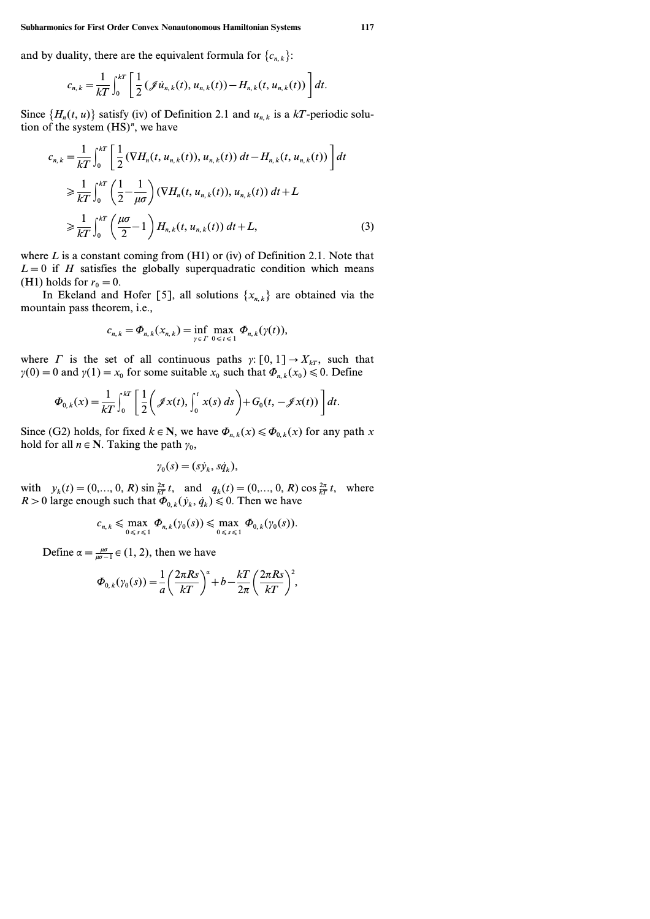**Subharmonics for First Order Convex Nonautonomous Hamiltonian Systems 117**

and by duality, there are the equivalent formula for  ${c_{n,k}}$ :

$$
c_{n,k} = \frac{1}{kT} \int_0^{kT} \left[ \frac{1}{2} (\mathcal{J} \dot{u}_{n,k}(t), u_{n,k}(t)) - H_{n,k}(t, u_{n,k}(t)) \right] dt.
$$

Since  $\{H_n(t, u)\}$  satisfy (iv) of Definition 2.1 and  $u_{n,k}$  is a kT-periodic solution of the system (HS)*<sup>n</sup>* , we have

$$
c_{n,k} = \frac{1}{kT} \int_0^{kT} \left[ \frac{1}{2} (\nabla H_n(t, u_{n,k}(t)), u_{n,k}(t)) dt - H_{n,k}(t, u_{n,k}(t)) \right] dt
$$
  
\n
$$
\geq \frac{1}{kT} \int_0^{kT} \left( \frac{1}{2} - \frac{1}{\mu \sigma} \right) (\nabla H_n(t, u_{n,k}(t)), u_{n,k}(t)) dt + L
$$
  
\n
$$
\geq \frac{1}{kT} \int_0^{kT} \left( \frac{\mu \sigma}{2} - 1 \right) H_{n,k}(t, u_{n,k}(t)) dt + L,
$$
 (3)

where  $L$  is a constant coming from  $(H1)$  or (iv) of Definition 2.1. Note that  $L=0$  if *H* satisfies the globally superquadratic condition which means (H1) holds for  $r_0 = 0$ .

In Ekeland and Hofer [5], all solutions  $\{x_{n,k}\}\$  are obtained via the mountain pass theorem, i.e.,

$$
c_{n,k} = \Phi_{n,k}(x_{n,k}) = \inf_{\gamma \in \Gamma} \max_{0 \leq t \leq 1} \Phi_{n,k}(\gamma(t)),
$$

where *C* is the set of all continuous paths  $\gamma: [0, 1] \rightarrow X_{kT}$ , such that  $\gamma(0) = 0$  and  $\gamma(1) = x_0$  for some suitable  $x_0$  such that  $\Phi_{n,k}(x_0) \leq 0$ . Define

$$
\Phi_{0,k}(x) = \frac{1}{kT} \int_0^{kT} \left[ \frac{1}{2} \left( \mathcal{J}x(t), \int_0^t x(s) \, ds \right) + G_0(t, -\mathcal{J}x(t)) \right] dt.
$$

Since (G2) holds, for fixed  $k \in \mathbb{N}$ , we have  $\Phi_{n,k}(x) \leq \Phi_{0,k}(x)$  for any path x hold for all  $n \in \mathbb{N}$ . Taking the path  $\gamma_0$ ,

$$
\gamma_0(s)=(s\dot{y}_k,s\dot{q}_k),
$$

with  $y_k(t) = (0, ..., 0, R) \sin \frac{2\pi}{kT} t$ , and  $q_k(t) = (0, ..., 0, R) \cos \frac{2\pi}{kT} t$ , where *R* > 0 large enough such that  $\Phi_{0,k}(\dot{y}_k, \dot{q}_k) \le 0$ . Then we have

$$
c_{n,k} \leqslant \max_{0 \leqslant s \leqslant 1} \Phi_{n,k}(\gamma_0(s)) \leqslant \max_{0 \leqslant s \leqslant 1} \Phi_{0,k}(\gamma_0(s)).
$$

Define  $\alpha = \frac{\mu\sigma}{\mu\sigma - 1} \in (1, 2)$ , then we have

$$
\Phi_{0,k}(\gamma_0(s)) = \frac{1}{a} \left( \frac{2\pi Rs}{kT} \right)^{\alpha} + b - \frac{kT}{2\pi} \left( \frac{2\pi Rs}{kT} \right)^2,
$$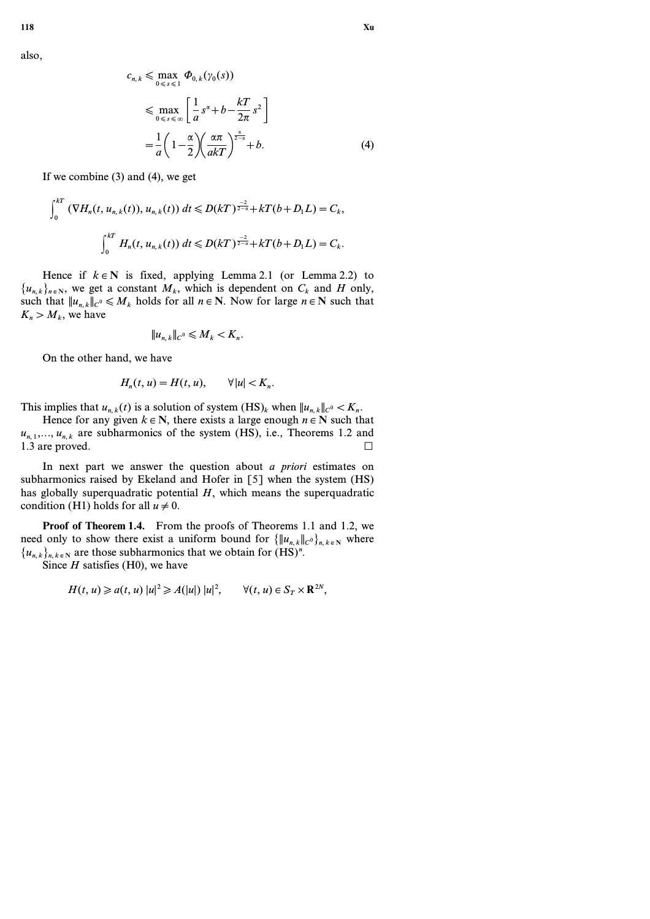also,

$$
c_{n,k} \leq \max_{0 \leq s \leq 1} \Phi_{0,k}(\gamma_0(s))
$$
  

$$
\leq \max_{0 \leq s \leq \infty} \left[ \frac{1}{a} s^{\alpha} + b - \frac{kT}{2\pi} s^2 \right]
$$
  

$$
= \frac{1}{a} \left( 1 - \frac{\alpha}{2} \right) \left( \frac{\alpha \pi}{akT} \right)^{\frac{\alpha}{2-\alpha}} + b.
$$
 (4)

If we combine (3) and (4), we get

$$
\int_0^{kT} \left( \nabla H_n(t, u_{n,k}(t)), u_{n,k}(t) \right) dt \le D(kT)^{\frac{-2}{2-\alpha}} + kT(b+D_1L) = C_k,
$$
  

$$
\int_0^{kT} H_n(t, u_{n,k}(t)) dt \le D(kT)^{\frac{-2}{2-\alpha}} + kT(b+D_1L) = C_k.
$$

Hence if  $k \in \mathbb{N}$  is fixed, applying Lemma 2.1 (or Lemma 2.2) to  ${u_{n,k}}_{n \in \mathbb{N}}$ , we get a constant  $M_k$ , which is dependent on  $C_k$  and *H* only, such that  $||u_{n,k}||_{C^0} \le M_k$  holds for all  $n \in \mathbb{N}$ . Now for large  $n \in \mathbb{N}$  such that  $K_n > M_k$ , we have

$$
||u_{n,k}||_{C^0} \leqslant M_k < K_n.
$$

On the other hand, we have

$$
H_n(t, u) = H(t, u), \qquad \forall |u| < K_n.
$$

This implies that  $u_{n,k}(t)$  is a solution of system  $(HS)_k$  when  $||u_{n,k}||_{C^0} < K_n$ .

Hence for any given  $k \in \mathbb{N}$ , there exists a large enough  $n \in \mathbb{N}$  such that  $u_{n,1},..., u_{n,k}$  are subharmonics of the system (HS), i.e., Theorems 1.2 and 1.3 are proved.  $\Box$ 

In next part we answer the question about *a priori* estimates on subharmonics raised by Ekeland and Hofer in [5] when the system (HS) has globally superquadratic potential *H*, which means the superquadratic condition (H1) holds for all  $u \neq 0$ .

**Proof of Theorem 1.4.** From the proofs of Theorems 1.1 and 1.2, we need only to show there exist a uniform bound for  ${\|u_{n,k}\|_{C} \}_{n,k \in \mathbb{N}}$  where  $\{u_{n,k}\}_{n,k \in \mathbb{N}}$  are those subharmonics that we obtain for  $(HS)^n$ .

Since *H* satisfies (H0), we have

$$
H(t, u) \geq a(t, u) |u|^2 \geq A(|u|) |u|^2, \qquad \forall (t, u) \in S_T \times \mathbb{R}^{2N},
$$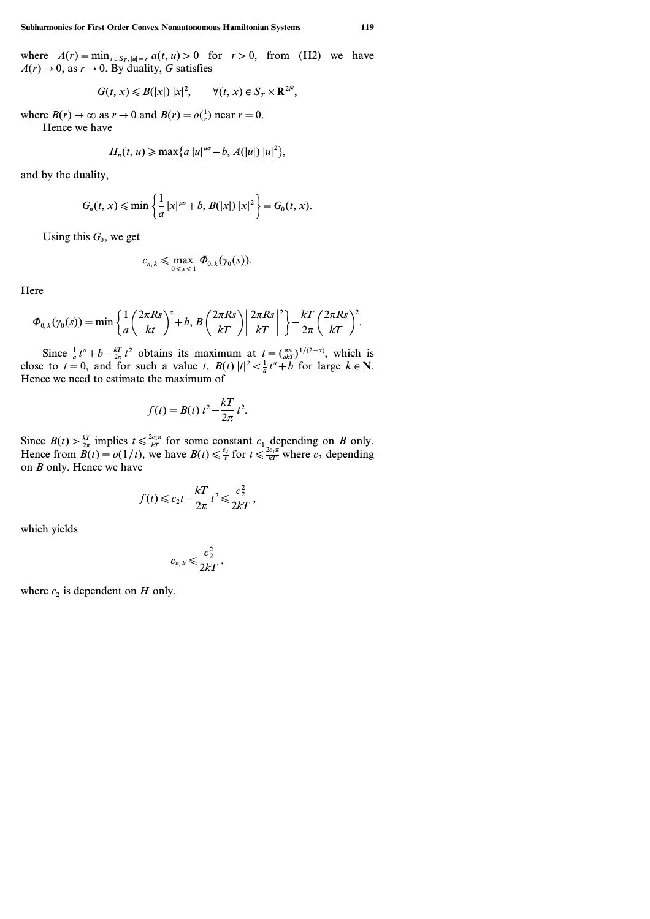where  $A(r) = \min_{t \in S_T, |u|=r} a(t, u) > 0$  for  $r > 0$ , from (H2) we have  $A(r) \rightarrow 0$ , as  $r \rightarrow 0$ . By duality, *G* satisfies

$$
G(t, x) \leq B(|x|) |x|^2, \qquad \forall (t, x) \in S_T \times \mathbf{R}^{2N},
$$

where  $B(r) \to \infty$  as  $r \to 0$  and  $B(r) = o(\frac{1}{r})$  near  $r = 0$ .

Hence we have

$$
H_n(t, u) \geqslant \max\{a \, |u|^{\mu\sigma}-b, A(|u|) \, |u|^2\},\,
$$

and by the duality,

$$
G_n(t, x) \le \min\left\{\frac{1}{a}|x|^{\mu\sigma} + b, B(|x|)|x|^2\right\} = G_0(t, x).
$$

Using this  $G_0$ , we get

$$
c_{n,k}\leqslant \max_{0\leqslant s\leqslant 1}\Phi_{0,k}(\gamma_0(s)).
$$

**Here** 

$$
\Phi_{0,k}(\gamma_0(s)) = \min \bigg\{ \frac{1}{a} \bigg( \frac{2\pi Rs}{kt} \bigg)^{\alpha} + b, B \bigg( \frac{2\pi Rs}{kT} \bigg) \bigg| \frac{2\pi Rs}{kT} \bigg|^{2} \bigg\} - \frac{kT}{2\pi} \bigg( \frac{2\pi Rs}{kT} \bigg)^{2}.
$$

Since  $\frac{1}{a}t^{\alpha} + b - \frac{kT}{2\pi}t^2$  obtains its maximum at  $t = \left(\frac{\alpha\pi}{akT}\right)^{1/(2-\alpha)}$ , which is close to  $t = 0$ , and for such a value  $t$ ,  $B(t) |t|^2 < \frac{1}{a}t^a + b$  for large  $k \in \mathbb{N}$ . Hence we need to estimate the maximum of

$$
f(t) = B(t) t^2 - \frac{kT}{2\pi} t^2.
$$

Since  $B(t) > \frac{kT}{2\pi}$  implies  $t \le \frac{2c_1\pi}{kT}$  for some constant  $c_1$  depending on *B* only. Hence from  $\overline{B}(t) = o(1/t)$ , we have  $B(t) \le \frac{c_2}{t}$  for  $t \le \frac{2c_1\pi}{kT}$  where  $c_2$  depending on *B* only. Hence we have

$$
f(t) \leqslant c_2 t - \frac{kT}{2\pi} t^2 \leqslant \frac{c_2^2}{2kT},
$$

which yields

$$
c_{n,k} \leqslant \frac{c_2^2}{2kT},
$$

where  $c_2$  is dependent on *H* only.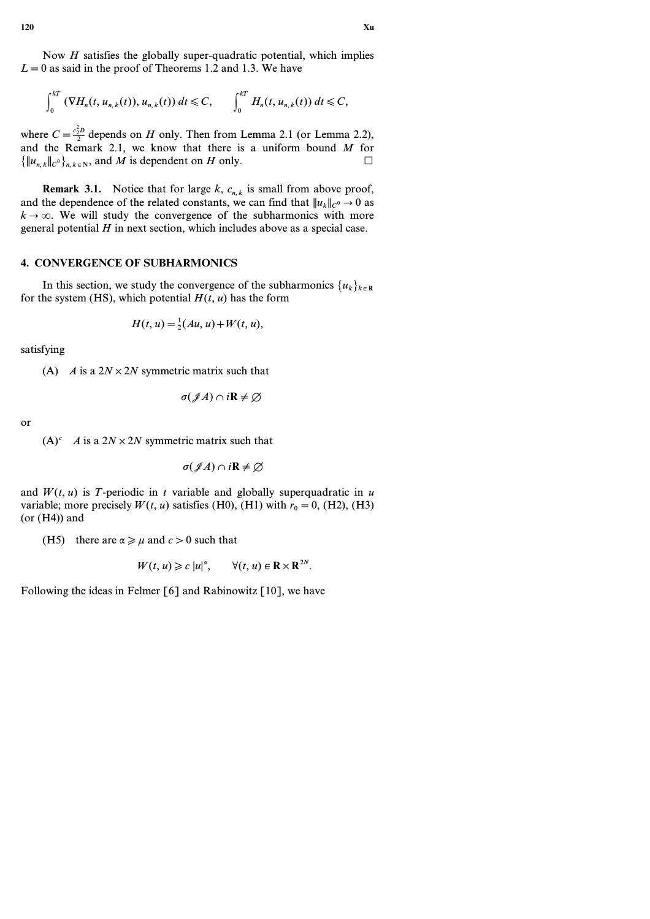Now *H* satisfies the globally super-quadratic potential, which implies  $L=0$  as said in the proof of Theorems 1.2 and 1.3. We have

$$
\int_0^{kT} \left(\nabla H_n(t, u_{n,k}(t)), u_{n,k}(t)\right) dt \leqslant C, \qquad \int_0^{kT} H_n(t, u_{n,k}(t)) dt \leqslant C,
$$

where  $C = \frac{e_2^2 D}{2}$  depends on *H* only. Then from Lemma 2.1 (or Lemma 2.2), and the Remark 2.1, we know that there is a uniform bound *M* for  ${\|u_{n,k}\|_{C} \}$ , and *M* is dependent on *H* only.

**Remark 3.1.** Notice that for large *k*, *cn, k* is small from above proof, and the dependence of the related constants, we can find that  $||u_k||_{C^0} \to 0$  as  $k \to \infty$ . We will study the convergence of the subharmonics with more general potential *H* in next section, which includes above as a special case.

# **4. CONVERGENCE OF SUBHARMONICS**

In this section, we study the convergence of the subharmonics  $\{u_k\}_{k \in \mathbb{R}}$ for the system (HS), which potential  $H(t, u)$  has the form

$$
H(t, u) = \frac{1}{2}(Au, u) + W(t, u),
$$

satisfying

(A) *A* is a  $2N \times 2N$  symmetric matrix such that

$$
\sigma(\mathscr{J}A)\cap i\mathbf{R}\neq\varnothing
$$

or

 $(A)^c$  *A* is a  $2N \times 2N$  symmetric matrix such that

$$
\sigma(\mathscr{J} A)\cap i\mathbf{R}\neq\varnothing
$$

and  $W(t, u)$  is *T*-periodic in *t* variable and globally superquadratic in *u* variable; more precisely  $W(t, u)$  satisfies (H0), (H1) with  $r_0 = 0$ , (H2), (H3)  $(or (H4))$  and

(H5) there are  $\alpha \ge \mu$  and  $c > 0$  such that

$$
W(t, u) \geqslant c |u|^{\alpha}, \qquad \forall (t, u) \in \mathbf{R} \times \mathbf{R}^{2N}.
$$

Following the ideas in Felmer  $\lceil 6 \rceil$  and Rabinowitz  $\lceil 10 \rceil$ , we have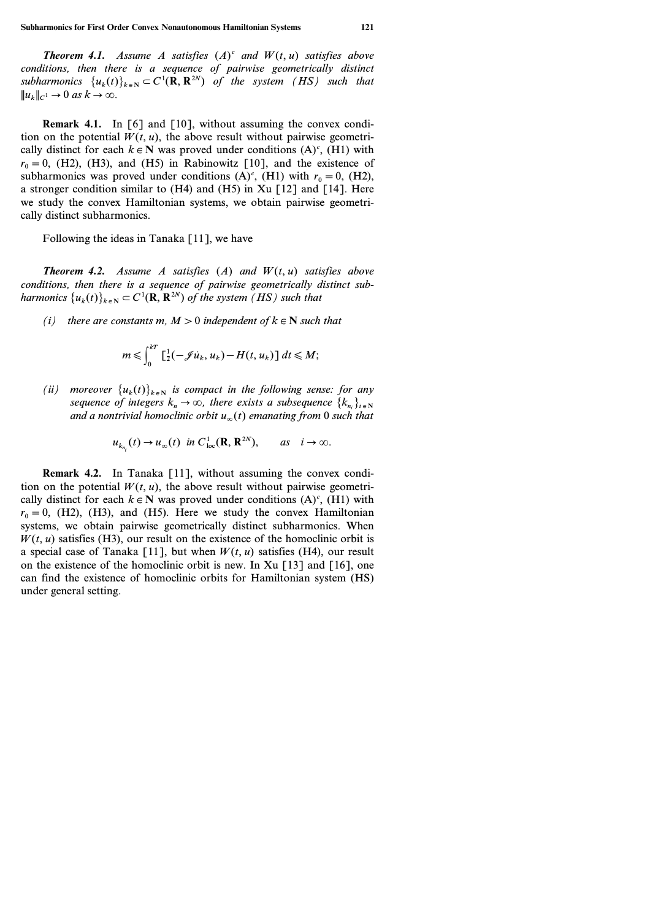*Theorem 4.1.* Assume A satisfies  $(A)^c$  and  $W(t, u)$  satisfies above *conditions, then there is a sequence of pairwise geometrically distinct* subharmonics  $\{u_k(t)\}_{k \in \mathbb{N}} \subset C^1(\mathbf{R}, \mathbf{R}^{2N})$  of the system (HS) such that  $||u_k||_{C^1} \to 0$  *as*  $k \to \infty$ .

**Remark 4.1.** In [6] and [10], without assuming the convex condition on the potential  $W(t, u)$ , the above result without pairwise geometrically distinct for each  $k \in \mathbb{N}$  was proved under conditions  $(A)^c$ ,  $(H1)$  with  $r_0 = 0$ , (H2), (H3), and (H5) in Rabinowitz [10], and the existence of subharmonics was proved under conditions  $(A)^c$ ,  $(H1)$  with  $r_0 = 0$ ,  $(H2)$ , a stronger condition similar to (H4) and (H5) in Xu [12] and [14]. Here we study the convex Hamiltonian systems, we obtain pairwise geometrically distinct subharmonics.

Following the ideas in Tanaka [11], we have

*Theorem 4.2. Assume A satisfies (A) and W(t, u) satisfies above conditions, then there is a sequence of pairwise geometrically distinct subharmonics*  $\{u_k(t)\}_{k \in \mathbb{N}} \subset C^1(\mathbf{R}, \mathbf{R}^{2N})$  of the system (HS) such that

*(i)* there are constants  $m, M > 0$  independent of  $k \in \mathbb{N}$  such that

$$
m \leqslant \int_0^{kT} \left[ \frac{1}{2} (-\mathscr{J} \dot{u}_k, u_k) - H(t, u_k) \right] dt \leqslant M;
$$

*(ii)* moreover  $\{u_k(t)\}_{k \in \mathbb{N}}$  is compact in the following sense: for any *sequence of integers*  $k_n \to \infty$ , there exists a subsequence  $\{k_{n_i}\}_{i \in \mathbb{N}}$ *and a nontrivial homoclinic orbit*  $u_{\infty}(t)$  *emanating from* 0 *such that* 

$$
u_{k_{n_i}}(t) \to u_\infty(t) \text{ in } C^1_{\text{loc}}(\mathbf{R}, \mathbf{R}^{2N}), \quad \text{as } i \to \infty.
$$

**Remark 4.2.** In Tanaka [11], without assuming the convex condition on the potential  $W(t, u)$ , the above result without pairwise geometrically distinct for each  $k \in \mathbb{N}$  was proved under conditions  $(A)^c$ ,  $(H1)$  with  $r_0 = 0$ , (H2), (H3), and (H5). Here we study the convex Hamiltonian systems, we obtain pairwise geometrically distinct subharmonics. When  $W(t, u)$  satisfies (H3), our result on the existence of the homoclinic orbit is a special case of Tanaka [11], but when  $W(t, u)$  satisfies (H4), our result on the existence of the homoclinic orbit is new. In Xu  $\lceil 13 \rceil$  and  $\lceil 16 \rceil$ , one can find the existence of homoclinic orbits for Hamiltonian system (HS) under general setting.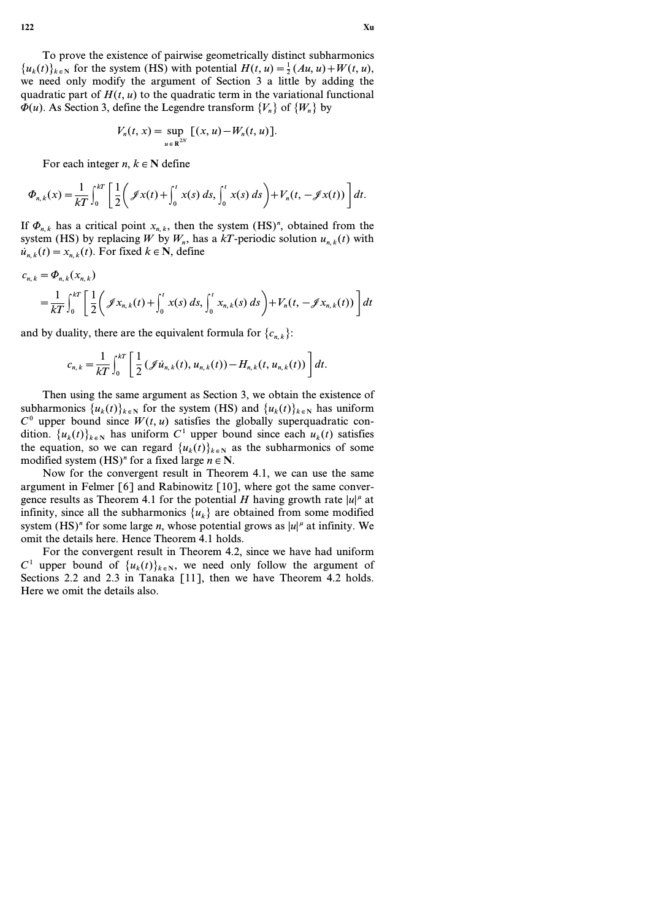To prove the existence of pairwise geometrically distinct subharmonics  ${u_k(t)}_{k \in N}$  for the system (HS) with potential  $H(t, u) = \frac{1}{2}(Au, u) + W(t, u)$ , we need only modify the argument of Section 3 a little by adding the quadratic part of  $H(t, u)$  to the quadratic term in the variational functional  $\Phi(u)$ . As Section 3, define the Legendre transform  ${V_n}$  of  ${W_n}$  by

$$
V_n(t, x) = \sup_{u \in \mathbb{R}^{2N}} [(x, u) - W_n(t, u)].
$$

For each integer  $n, k \in \mathbb{N}$  define

$$
\Phi_{n,k}(x) = \frac{1}{kT} \int_0^{kT} \left[ \frac{1}{2} \left( \mathcal{J}x(t) + \int_0^t x(s) \, ds, \int_0^t x(s) \, ds \right) + V_n(t, -\mathcal{J}x(t)) \right] dt.
$$

If  $\Phi_{n,k}$  has a critical point  $x_{n,k}$ , then the system (HS)<sup>*n*</sup>, obtained from the system (HS) by replacing *W* by  $W_n$ , has a  $kT$ -periodic solution  $u_{n,k}(t)$  with  $u_{n,k}(t) = x_{n,k}(t)$ . For fixed  $k \in \mathbb{N}$ , define

$$
c_{n,k} = \Phi_{n,k}(x_{n,k})
$$
  
=  $\frac{1}{kT} \int_0^{kT} \left[ \frac{1}{2} \left( \mathcal{J}x_{n,k}(t) + \int_0^t x(s) \, ds, \int_0^t x_{n,k}(s) \, ds \right) + V_n(t, -\mathcal{J}x_{n,k}(t)) \right] dt$ 

and by duality, there are the equivalent formula for  ${c_{n,k}}$ :

$$
c_{n,k} = \frac{1}{kT} \int_0^{kT} \left[ \frac{1}{2} (\mathcal{J} \dot{u}_{n,k}(t), u_{n,k}(t)) - H_{n,k}(t, u_{n,k}(t)) \right] dt.
$$

Then using the same argument as Section 3, we obtain the existence of subharmonics  ${u_k(t)}_{k \in N}$  for the system (HS) and  ${u_k(t)}_{k \in N}$  has uniform  $C<sup>0</sup>$  upper bound since  $W(t, u)$  satisfies the globally superquadratic condition.  ${u_k(t)}_{k \in \mathbb{N}}$  has uniform  $C^1$  upper bound since each  $u_k(t)$  satisfies the equation, so we can regard  $\{u_k(t)\}_{k \in \mathbb{N}}$  as the subharmonics of some modified system  $(HS)^n$  for a fixed large  $n \in N$ .

Now for the convergent result in Theorem 4.1, we can use the same argument in Felmer  $\lceil 6 \rceil$  and Rabinowitz  $\lceil 10 \rceil$ , where got the same convergence results as Theorem 4.1 for the potential *H* having growth rate  $|u|^{\mu}$  at infinity, since all the subharmonics  $\{u_k\}$  are obtained from some modified system (HS)<sup>*n*</sup> for some large *n*, whose potential grows as  $|u|^{\mu}$  at infinity. We omit the details here. Hence Theorem 4.1 holds.

For the convergent result in Theorem 4.2, since we have had uniform  $C^1$  upper bound of  $\{u_k(t)\}_{k \in \mathbb{N}}$ , we need only follow the argument of Sections 2.2 and 2.3 in Tanaka [11], then we have Theorem 4.2 holds. Here we omit the details also.